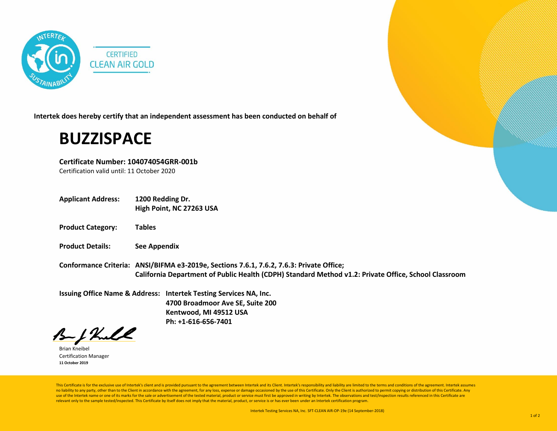

**Intertek does hereby certify that an independent assessment has been conducted on behalf of**

## **BUZZISPACE**

**Certificate Number: 104074054GRR-001b**

Certification valid until: 11 October 2020

- **Applicant Address: 1200 Redding Dr. High Point, NC 27263 USA**
- **Product Category: Tables**
- **Product Details: See Appendix**
- **Conformance Criteria: ANSI/BIFMA e3-2019e, Sections 7.6.1, 7.6.2, 7.6.3: Private Office; California Department of Public Health (CDPH) Standard Method v1.2: Private Office, School Classroom**
- **Issuing Office Name & Address: Intertek Testing Services NA, Inc. 4700 Broadmoor Ave SE, Suite 200 Kentwood, MI 49512 USA Ph: +1-616-656-7401**

- J Kull

Brian Kneibel Certification Manager **11 October 2019**

This Certificate is for the exclusive use of Intertek's client and is provided pursuant to the agreement between Intertek and its Client. Intertek's responsibility and liability are limited to the terms and conditions of t no liability to any party, other than to the Client in accordance with the agreement, for any loss, expense or damage occasioned by the use of this Certificate. Only the Client is authorized to permit copying or distributi use of the Intertek name or one of its marks for the sale or advertisement of the tested material, product or service must first be approved in writing by Intertek. The observations and test/inspection results referenced i relevant only to the sample tested/inspected. This Certificate by itself does not imply that the material, product, or service is or has ever been under an Intertek certification program.